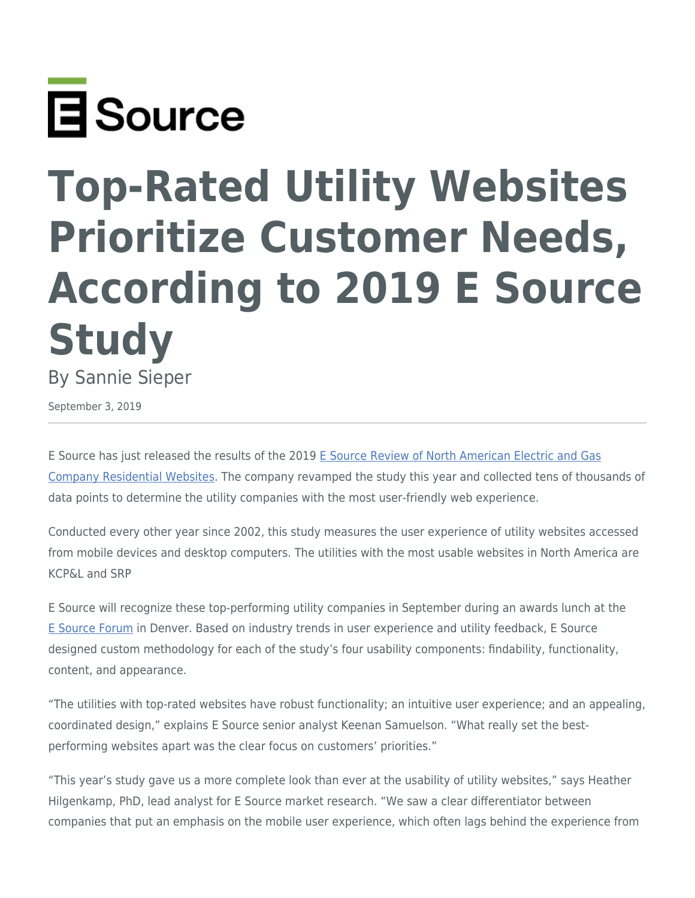

## **Top-Rated Utility Websites Prioritize Customer Needs, According to 2019 E Source Study**

By Sannie Sieper

September 3, 2019

E Source has just released the results of the 2019 [E Source Review of North American Electric and Gas](https://www.esource.com/web-review) [Company Residential Websites](https://www.esource.com/web-review). The company revamped the study this year and collected tens of thousands of data points to determine the utility companies with the most user-friendly web experience.

Conducted every other year since 2002, this study measures the user experience of utility websites accessed from mobile devices and desktop computers. The utilities with the most usable websites in North America are KCP&L and SRP

E Source will recognize these top-performing utility companies in September during an awards lunch at the [E Source Forum](https://www.esource.com/forum2019) in Denver. Based on industry trends in user experience and utility feedback, E Source designed custom methodology for each of the study's four usability components: findability, functionality, content, and appearance.

"The utilities with top-rated websites have robust functionality; an intuitive user experience; and an appealing, coordinated design," explains E Source senior analyst Keenan Samuelson. "What really set the bestperforming websites apart was the clear focus on customers' priorities."

"This year's study gave us a more complete look than ever at the usability of utility websites," says Heather Hilgenkamp, PhD, lead analyst for E Source market research. "We saw a clear differentiator between companies that put an emphasis on the mobile user experience, which often lags behind the experience from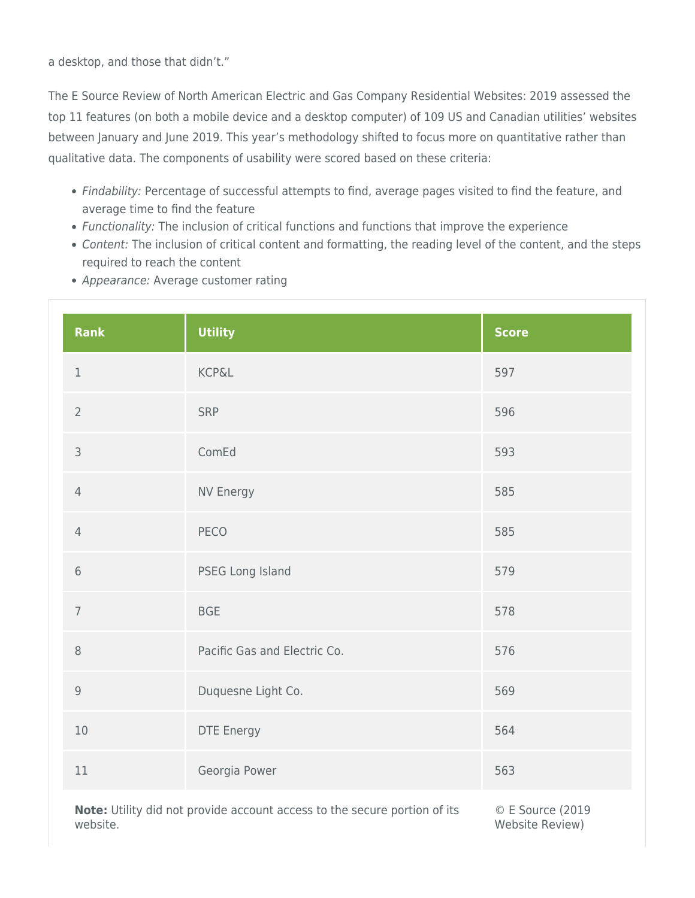a desktop, and those that didn't."

The E Source Review of North American Electric and Gas Company Residential Websites: 2019 assessed the top 11 features (on both a mobile device and a desktop computer) of 109 US and Canadian utilities' websites between January and June 2019. This year's methodology shifted to focus more on quantitative rather than qualitative data. The components of usability were scored based on these criteria:

- Findability: Percentage of successful attempts to find, average pages visited to find the feature, and average time to find the feature
- Functionality: The inclusion of critical functions and functions that improve the experience
- Content: The inclusion of critical content and formatting, the reading level of the content, and the steps required to reach the content
- Appearance: Average customer rating

| Rank           | <b>Utility</b>               | <b>Score</b> |
|----------------|------------------------------|--------------|
| $\,1$          | <b>KCP&amp;L</b>             | 597          |
| $\overline{2}$ | SRP                          | 596          |
| $\mathsf 3$    | ComEd                        | 593          |
| $\overline{4}$ | NV Energy                    | 585          |
| $\overline{4}$ | <b>PECO</b>                  | 585          |
| $6\phantom{1}$ | PSEG Long Island             | 579          |
| $\overline{7}$ | <b>BGE</b>                   | 578          |
| $\,8\,$        | Pacific Gas and Electric Co. | 576          |
| $\mathsf 9$    | Duquesne Light Co.           | 569          |
| $10\,$         | DTE Energy                   | 564          |
| 11             | Georgia Power                | 563          |

**Note:** Utility did not provide account access to the secure portion of its website.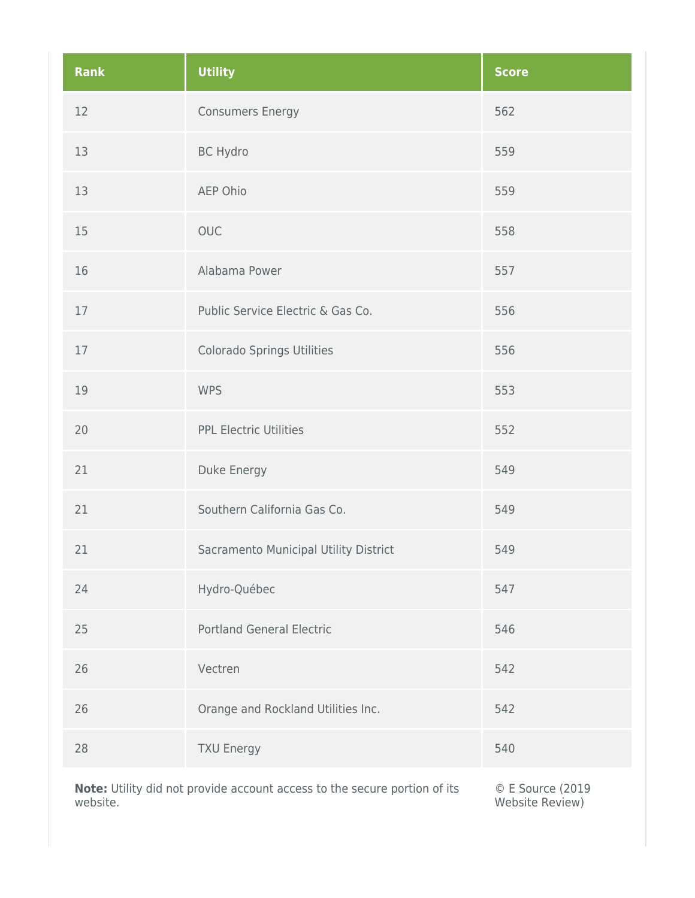| <b>Rank</b> | <b>Utility</b>                                                             | <b>Score</b>       |
|-------------|----------------------------------------------------------------------------|--------------------|
| 12          | <b>Consumers Energy</b>                                                    | 562                |
| 13          | <b>BC Hydro</b>                                                            | 559                |
| 13          | AEP Ohio                                                                   | 559                |
| 15          | <b>OUC</b>                                                                 | 558                |
| 16          | Alabama Power                                                              | 557                |
| 17          | Public Service Electric & Gas Co.                                          | 556                |
| 17          | Colorado Springs Utilities                                                 | 556                |
| 19          | <b>WPS</b>                                                                 | 553                |
| 20          | <b>PPL Electric Utilities</b>                                              | 552                |
| 21          | Duke Energy                                                                | 549                |
| 21          | Southern California Gas Co.                                                | 549                |
| 21          | Sacramento Municipal Utility District                                      | 549                |
| 24          | Hydro-Québec                                                               | 547                |
| 25          | <b>Portland General Electric</b>                                           | 546                |
| 26          | Vectren                                                                    | 542                |
| 26          | Orange and Rockland Utilities Inc.                                         | 542                |
| 28          | <b>TXU Energy</b>                                                          | 540                |
|             | Note: Litility did not provide account accord to the secure pertien of its | $C$ E Source (2010 |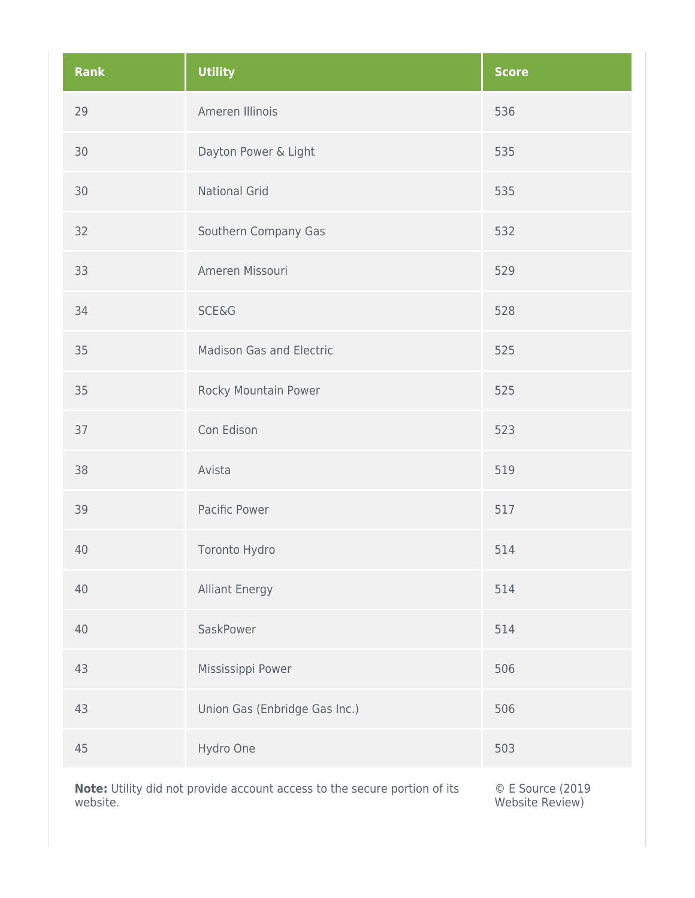| <b>Rank</b> | <b>Utility</b>                                                            | <b>Score</b>     |
|-------------|---------------------------------------------------------------------------|------------------|
| 29          | Ameren Illinois                                                           | 536              |
| 30          | Dayton Power & Light                                                      | 535              |
| 30          | <b>National Grid</b>                                                      | 535              |
| 32          | Southern Company Gas                                                      | 532              |
| 33          | Ameren Missouri                                                           | 529              |
| 34          | <b>SCE&amp;G</b>                                                          | 528              |
| 35          | <b>Madison Gas and Electric</b>                                           | 525              |
| 35          | Rocky Mountain Power                                                      | 525              |
| 37          | Con Edison                                                                | 523              |
| 38          | Avista                                                                    | 519              |
| 39          | Pacific Power                                                             | 517              |
| 40          | Toronto Hydro                                                             | 514              |
| 40          | <b>Alliant Energy</b>                                                     | 514              |
| 40          | SaskPower                                                                 | 514              |
| 43          | Mississippi Power                                                         | 506              |
| 43          | Union Gas (Enbridge Gas Inc.)                                             | 506              |
| 45          | Hydro One                                                                 | 503              |
|             | Note: Utility did not provide account access to the secure portion of its | © E Source (2019 |

Website Review)

website.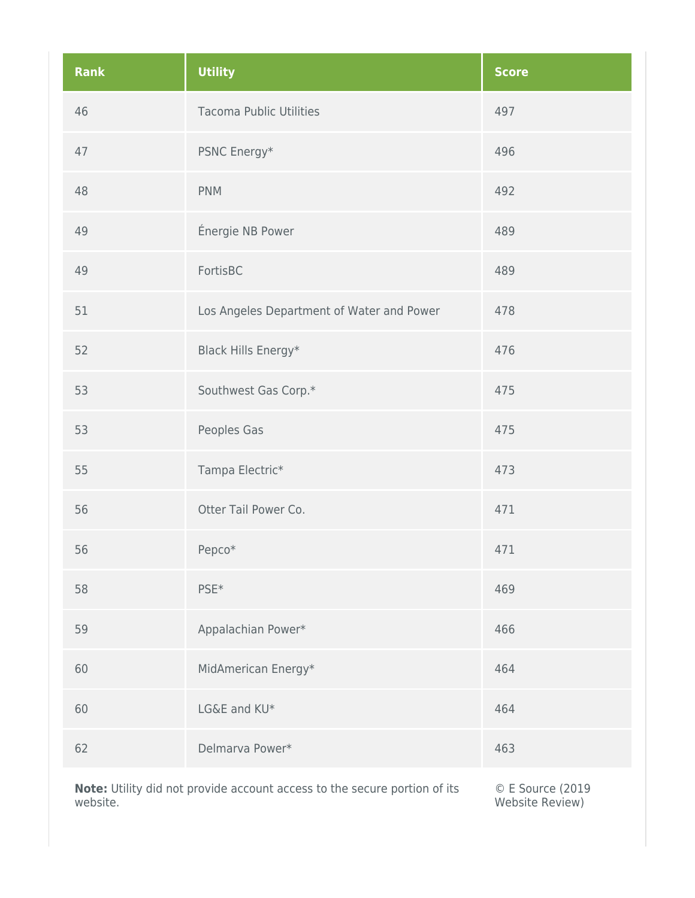| <b>Rank</b> | <b>Utility</b>                            | <b>Score</b> |
|-------------|-------------------------------------------|--------------|
| 46          | <b>Tacoma Public Utilities</b>            | 497          |
| 47          | PSNC Energy*                              | 496          |
| 48          | <b>PNM</b>                                | 492          |
| 49          | Énergie NB Power                          | 489          |
| 49          | FortisBC                                  | 489          |
| 51          | Los Angeles Department of Water and Power | 478          |
| 52          | Black Hills Energy*                       | 476          |
| 53          | Southwest Gas Corp.*                      | 475          |
| 53          | Peoples Gas                               | 475          |
| 55          | Tampa Electric*                           | 473          |
| 56          | Otter Tail Power Co.                      | 471          |
| 56          | Pepco*                                    | 471          |
| 58          | PSE <sup>*</sup>                          | 469          |
| 59          | Appalachian Power*                        | 466          |
| 60          | MidAmerican Energy*                       | 464          |
| 60          | LG&E and KU*                              | 464          |
| 62          | Delmarva Power*                           | 463          |
|             |                                           |              |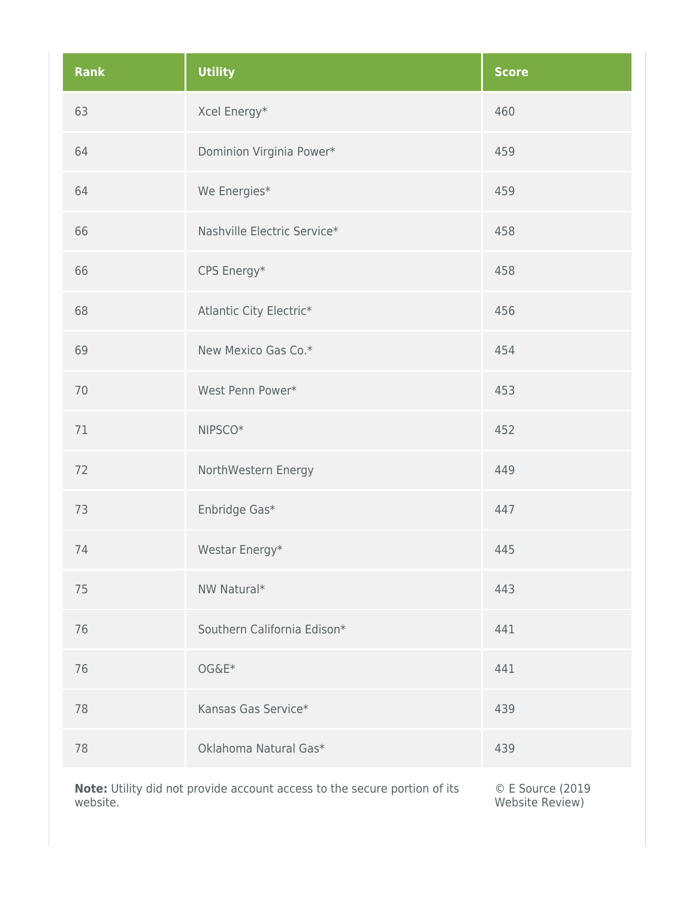| <b>Rank</b> | <b>Utility</b>              | <b>Score</b> |
|-------------|-----------------------------|--------------|
| 63          | Xcel Energy*                | 460          |
| 64          | Dominion Virginia Power*    | 459          |
| 64          | We Energies*                | 459          |
| 66          | Nashville Electric Service* | 458          |
| 66          | CPS Energy*                 | 458          |
| 68          | Atlantic City Electric*     | 456          |
| 69          | New Mexico Gas Co.*         | 454          |
| 70          | West Penn Power*            | 453          |
| 71          | NIPSCO <sup>*</sup>         | 452          |
| 72          | NorthWestern Energy         | 449          |
| 73          | Enbridge Gas*               | 447          |
| 74          | Westar Energy*              | 445          |
| 75          | NW Natural*                 | 443          |
| 76          | Southern California Edison* | 441          |
| 76          | OG&E*                       | 441          |
| 78          | Kansas Gas Service*         | 439          |
| 78          | Oklahoma Natural Gas*       | 439          |
|             |                             |              |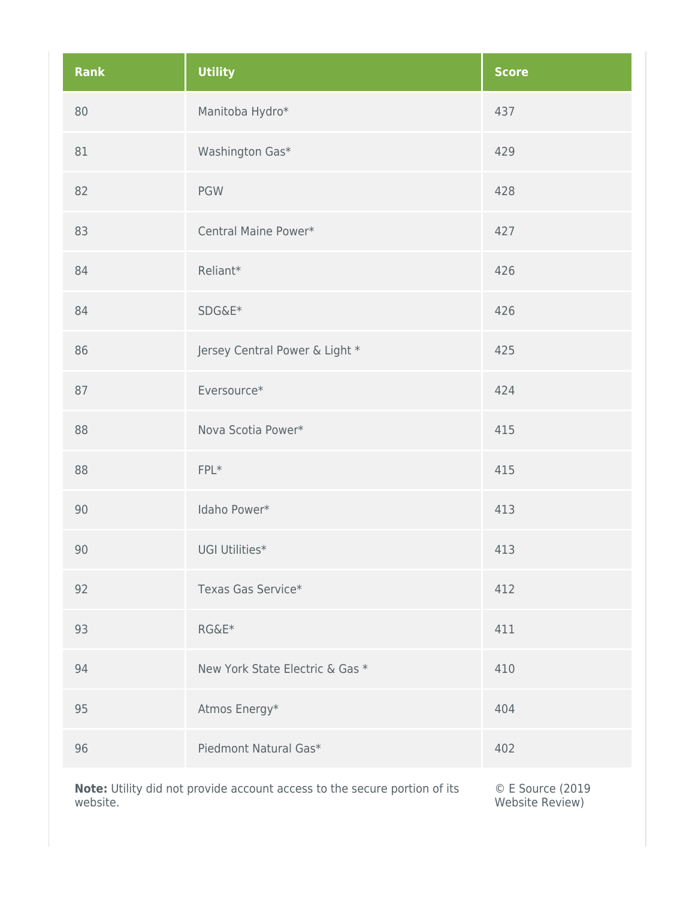| <b>Rank</b> | <b>Utility</b>                  | <b>Score</b> |
|-------------|---------------------------------|--------------|
| 80          | Manitoba Hydro*                 | 437          |
| 81          | Washington Gas*                 | 429          |
| 82          | <b>PGW</b>                      | 428          |
| 83          | Central Maine Power*            | 427          |
| 84          | Reliant*                        | 426          |
| 84          | SDG&E*                          | 426          |
| 86          | Jersey Central Power & Light *  | 425          |
| 87          | Eversource*                     | 424          |
| 88          | Nova Scotia Power*              | 415          |
| 88          | $FPL*$                          | 415          |
| 90          | Idaho Power*                    | 413          |
| 90          | UGI Utilities*                  | 413          |
| 92          | Texas Gas Service*              | 412          |
| 93          | RG&E*                           | 411          |
| 94          | New York State Electric & Gas * | 410          |
| 95          | Atmos Energy*                   | 404          |
| 96          | Piedmont Natural Gas*           | 402          |
|             |                                 |              |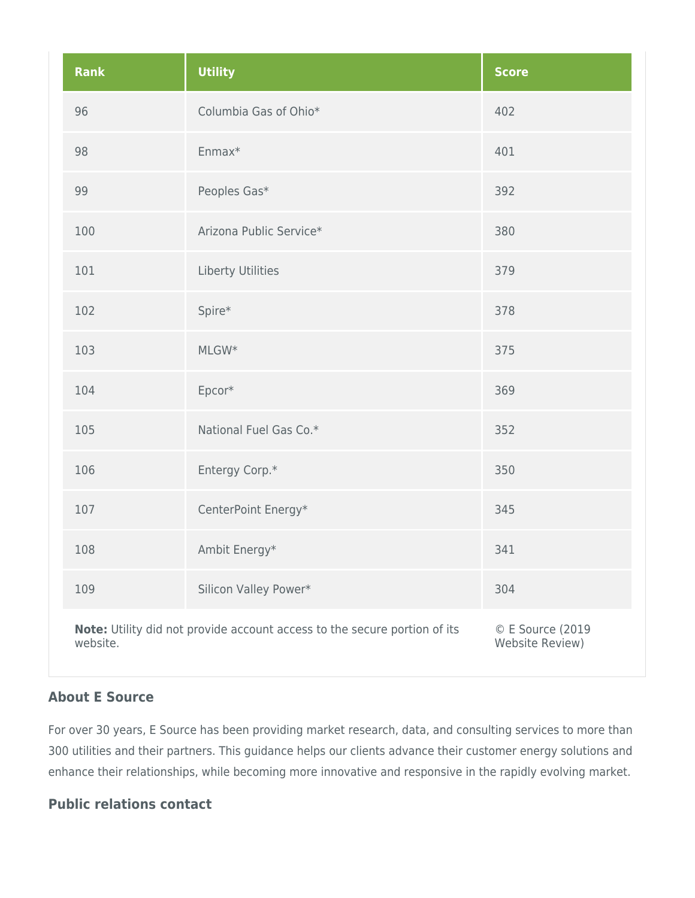| <b>Rank</b> | <b>Utility</b>                                                            | <b>Score</b>                        |
|-------------|---------------------------------------------------------------------------|-------------------------------------|
| 96          | Columbia Gas of Ohio*                                                     | 402                                 |
| 98          | Enmax*                                                                    | 401                                 |
| 99          | Peoples Gas*                                                              | 392                                 |
| 100         | Arizona Public Service*                                                   | 380                                 |
| 101         | Liberty Utilities                                                         | 379                                 |
| 102         | Spire*                                                                    | 378                                 |
| 103         | MLGW*                                                                     | 375                                 |
| 104         | Epcor*                                                                    | 369                                 |
| 105         | National Fuel Gas Co.*                                                    | 352                                 |
| 106         | Entergy Corp.*                                                            | 350                                 |
| 107         | CenterPoint Energy*                                                       | 345                                 |
| 108         | Ambit Energy*                                                             | 341                                 |
| 109         | Silicon Valley Power*                                                     | 304                                 |
| website.    | Note: Utility did not provide account access to the secure portion of its | © E Source (2019<br>Website Review) |

## **About E Source**

For over 30 years, E Source has been providing market research, data, and consulting services to more than 300 utilities and their partners. This guidance helps our clients advance their customer energy solutions and enhance their relationships, while becoming more innovative and responsive in the rapidly evolving market.

## **Public relations contact**